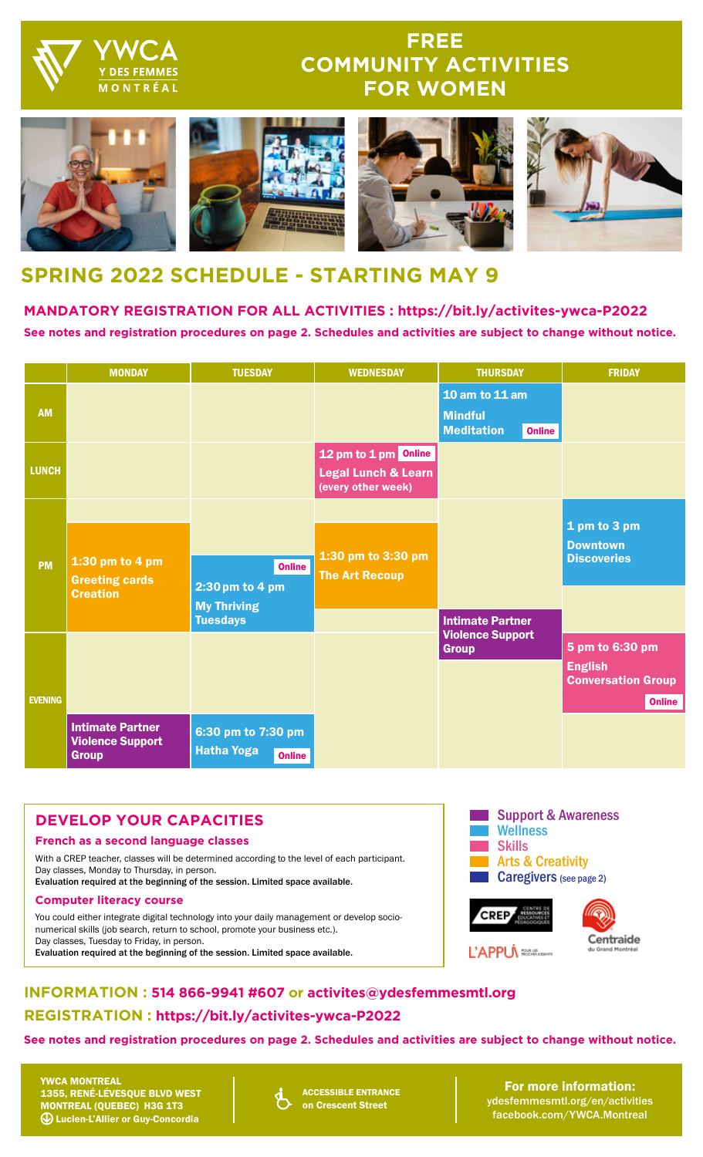

## **FREE COMMUNITY ACTIVITIES FOR WOMEN**



# **SPRING 2022 SCHEDULE - STARTING MAY 9**

### **MANDATORY REGISTRATION FOR ALL ACTIVITIES : https://bit.ly/activites-ywca-P2022 See notes and registration procedures on page 2. Schedules and activities are subject to change without notice.**

|                | <b>MONDAY</b>                                                      | <b>TUESDAY</b>                                                            | <b>WEDNESDAY</b>                                                             | <b>THURSDAY</b>                                                        | <b>FRIDAY</b>                                                                   |
|----------------|--------------------------------------------------------------------|---------------------------------------------------------------------------|------------------------------------------------------------------------------|------------------------------------------------------------------------|---------------------------------------------------------------------------------|
| <b>AM</b>      |                                                                    |                                                                           |                                                                              | 10 am to 11 am<br><b>Mindful</b><br><b>Meditation</b><br><b>Online</b> |                                                                                 |
| <b>LUNCH</b>   |                                                                    |                                                                           | 12 pm to 1 pm Online<br><b>Legal Lunch &amp; Learn</b><br>(every other week) |                                                                        |                                                                                 |
| <b>PM</b>      | 1:30 pm to 4 pm<br><b>Greeting cards</b><br><b>Creation</b>        | <b>Online</b><br>2:30 pm to 4 pm<br><b>My Thriving</b><br><b>Tuesdays</b> | 1:30 pm to 3:30 pm<br><b>The Art Recoup</b>                                  | <b>Intimate Partner</b>                                                | 1 pm to 3 pm<br><b>Downtown</b><br><b>Discoveries</b>                           |
| <b>EVENING</b> |                                                                    |                                                                           |                                                                              | <b>Violence Support</b><br><b>Group</b>                                | 5 pm to 6:30 pm<br><b>English</b><br><b>Conversation Group</b><br><b>Online</b> |
|                | <b>Intimate Partner</b><br><b>Violence Support</b><br><b>Group</b> | 6:30 pm to 7:30 pm<br><b>Hatha Yoga</b><br><b>Online</b>                  |                                                                              |                                                                        |                                                                                 |

## **DEVELOP YOUR CAPACITIES**

#### **French as a second language classes**

With a CREP teacher, classes will be determined according to the level of each participant. Day classes, Monday to Thursday, in person.

Evaluation required at the beginning of the session. Limited space available.

#### **Computer literacy course**

You could either integrate digital technology into your daily management or develop socionumerical skills (job search, return to school, promote your business etc.). Day classes, Tuesday to Friday, in person. Evaluation required at the beginning of the session. Limited space available.



**CREP** 

L'APPU<sub>N</sub>



## **INFORMATION : 514 866-9941 #607 or activites@ydesfemmesmtl.org REGISTRATION : https://bit.ly/activites-ywca-P2022**

**See notes and registration procedures on page 2. Schedules and activities are subject to change without notice.**

YWCA MONTREAL 1355, RENÉ-LÉVESQUE BLVD WEST MONTREAL (QUEBEC) H3G 1T3 Lucien-L'Allier or Guy-Concordia



ACCESSIBLE ENTRANCE on Crescent Street

For more information: [ydesfemmesmtl.org/en/activities](http://www.ydesfemmesmtl.org/en/community-services/activities/) [facebook.com/YWCA.Montreal](https://facebook.com/YWCA.Montreal)